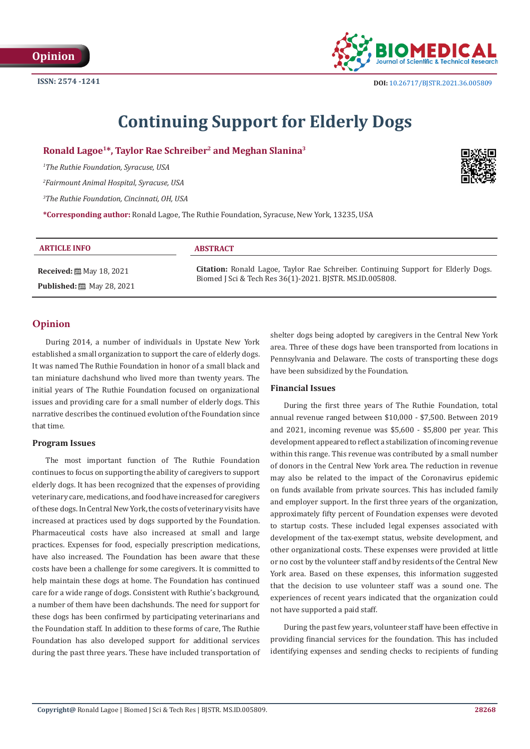

# **Continuing Support for Elderly Dogs**

**Ronald Lagoe1\*, Taylor Rae Schreiber2 and Meghan Slanina3**

*1 The Ruthie Foundation, Syracuse, USA*

*2 Fairmount Animal Hospital, Syracuse, USA*

*3 The Ruthie Foundation, Cincinnati, OH, USA*

**\*Corresponding author:** Ronald Lagoe, The Ruthie Foundation, Syracuse, New York, 13235, USA

| <b>ARTICLE INFO</b>                                   | <b>ABSTRACT</b>                                                                                                                                       |
|-------------------------------------------------------|-------------------------------------------------------------------------------------------------------------------------------------------------------|
| <b>Received:</b> $\mathbf{\mathfrak{M}}$ May 18, 2021 | <b>Citation:</b> Ronald Lagoe, Taylor Rae Schreiber. Continuing Support for Elderly Dogs.<br>Biomed J Sci & Tech Res 36(1)-2021. BJSTR. MS.ID.005808. |
| <b>Published:</b> [2010] May 28, 2021                 |                                                                                                                                                       |

## **Opinion**

During 2014, a number of individuals in Upstate New York established a small organization to support the care of elderly dogs. It was named The Ruthie Foundation in honor of a small black and tan miniature dachshund who lived more than twenty years. The initial years of The Ruthie Foundation focused on organizational issues and providing care for a small number of elderly dogs. This narrative describes the continued evolution of the Foundation since that time.

#### **Program Issues**

The most important function of The Ruthie Foundation continues to focus on supporting the ability of caregivers to support elderly dogs. It has been recognized that the expenses of providing veterinary care, medications, and food have increased for caregivers of these dogs. In Central New York, the costs of veterinary visits have increased at practices used by dogs supported by the Foundation. Pharmaceutical costs have also increased at small and large practices. Expenses for food, especially prescription medications, have also increased. The Foundation has been aware that these costs have been a challenge for some caregivers. It is committed to help maintain these dogs at home. The Foundation has continued care for a wide range of dogs. Consistent with Ruthie's background, a number of them have been dachshunds. The need for support for these dogs has been confirmed by participating veterinarians and the Foundation staff. In addition to these forms of care, The Ruthie Foundation has also developed support for additional services during the past three years. These have included transportation of shelter dogs being adopted by caregivers in the Central New York area. Three of these dogs have been transported from locations in Pennsylvania and Delaware. The costs of transporting these dogs have been subsidized by the Foundation.

## **Financial Issues**

During the first three years of The Ruthie Foundation, total annual revenue ranged between \$10,000 - \$7,500. Between 2019 and 2021, incoming revenue was \$5,600 - \$5,800 per year. This development appeared to reflect a stabilization of incoming revenue within this range. This revenue was contributed by a small number of donors in the Central New York area. The reduction in revenue may also be related to the impact of the Coronavirus epidemic on funds available from private sources. This has included family and employer support. In the first three years of the organization, approximately fifty percent of Foundation expenses were devoted to startup costs. These included legal expenses associated with development of the tax-exempt status, website development, and other organizational costs. These expenses were provided at little or no cost by the volunteer staff and by residents of the Central New York area. Based on these expenses, this information suggested that the decision to use volunteer staff was a sound one. The experiences of recent years indicated that the organization could not have supported a paid staff.

During the past few years, volunteer staff have been effective in providing financial services for the foundation. This has included identifying expenses and sending checks to recipients of funding